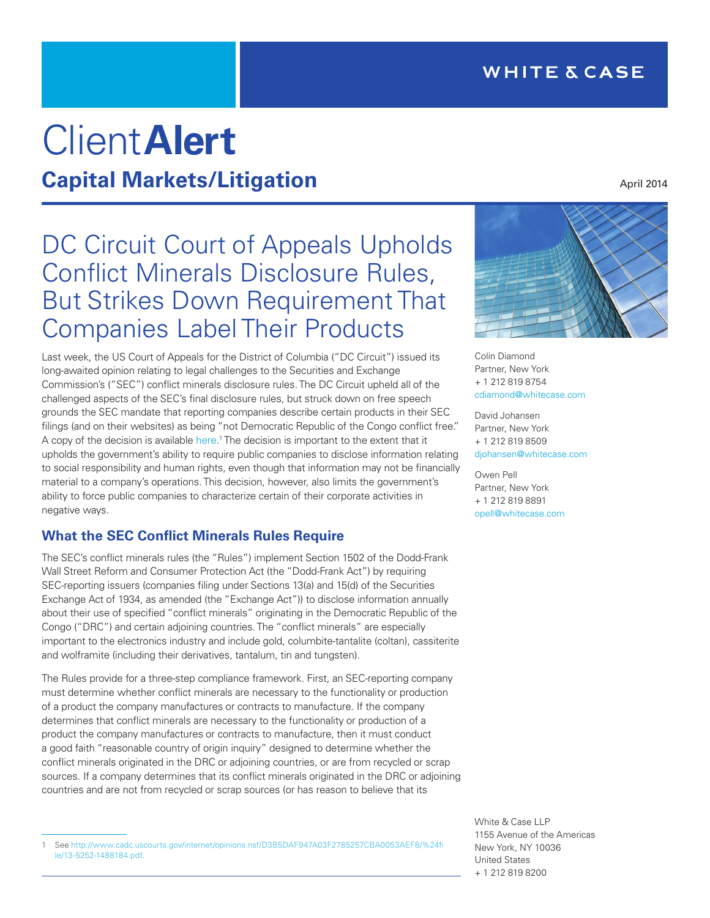# Client**Alert Capital Markets/Litigation**

# DC Circuit Court of Appeals Upholds Conflict Minerals Disclosure Rules, But Strikes Down Requirement That Companies Label Their Products

Last week, the US Court of Appeals for the District of Columbia ("DC Circuit") issued its long-awaited opinion relating to legal challenges to the Securities and Exchange Commission's ("SEC") conflict minerals disclosure rules. The DC Circuit upheld all of the challenged aspects of the SEC's final disclosure rules, but struck down on free speech grounds the SEC mandate that reporting companies describe certain products in their SEC filings (and on their websites) as being "not Democratic Republic of the Congo conflict free." A copy of the decision is available [here.](http://www.cadc.uscourts.gov/internet/opinions.nsf/D3B5DAF947A03F2785257CBA0053AEF8/%24file/13-5252-1488184.pdf)<sup>1</sup> The decision is important to the extent that it upholds the government's ability to require public companies to disclose information relating to social responsibility and human rights, even though that information may not be financially material to a company's operations. This decision, however, also limits the government's ability to force public companies to characterize certain of their corporate activities in negative ways.

# **What the SEC Conflict Minerals Rules Require**

The SEC's conflict minerals rules (the "Rules") implement Section 1502 of the Dodd-Frank Wall Street Reform and Consumer Protection Act (the "Dodd-Frank Act") by requiring SEC-reporting issuers (companies filing under Sections 13(a) and 15(d) of the Securities Exchange Act of 1934, as amended (the "Exchange Act")) to disclose information annually about their use of specified "conflict minerals" originating in the Democratic Republic of the Congo ("DRC") and certain adjoining countries. The "conflict minerals" are especially important to the electronics industry and include gold, columbite-tantalite (coltan), cassiterite and wolframite (including their derivatives, tantalum, tin and tungsten).

The Rules provide for a three-step compliance framework. First, an SEC-reporting company must determine whether conflict minerals are necessary to the functionality or production of a product the company manufactures or contracts to manufacture. If the company determines that conflict minerals are necessary to the functionality or production of a product the company manufactures or contracts to manufacture, then it must conduct a good faith "reasonable country of origin inquiry" designed to determine whether the conflict minerals originated in the DRC or adjoining countries, or are from recycled or scrap sources. If a company determines that its conflict minerals originated in the DRC or adjoining countries and are not from recycled or scrap sources (or has reason to believe that its



Colin Diamond Partner, New York + 1 212 819 8754 [cdiamond@whitecase.com](mailto:cdiamond%40whitecase.com?subject=)

David Johansen Partner, New York + 1 212 819 8509 [djohansen@whitecase.com](mailto:djohansen%40whitecase.com?subject=)

Owen Pell Partner, New York + 1 212 819 8891 [opell@whitecase.com](mailto:opell%40whitecase.com?subject=)

White & Case LLP 1155 Avenue of the Americas New York, NY 10036 United States + 1 212 819 8200

April 2014

<sup>1</sup> See [http://www.cadc.uscourts.gov/internet/opinions.nsf/D3B5DAF947A03F2785257CBA0053AEF8/%24fi](http://www.cadc.uscourts.gov/internet/opinions.nsf/D3B5DAF947A03F2785257CBA0053AEF8/%24file/13-5252-1488184.pdf) [le/13-5252-1488184.pdf.](http://www.cadc.uscourts.gov/internet/opinions.nsf/D3B5DAF947A03F2785257CBA0053AEF8/%24file/13-5252-1488184.pdf)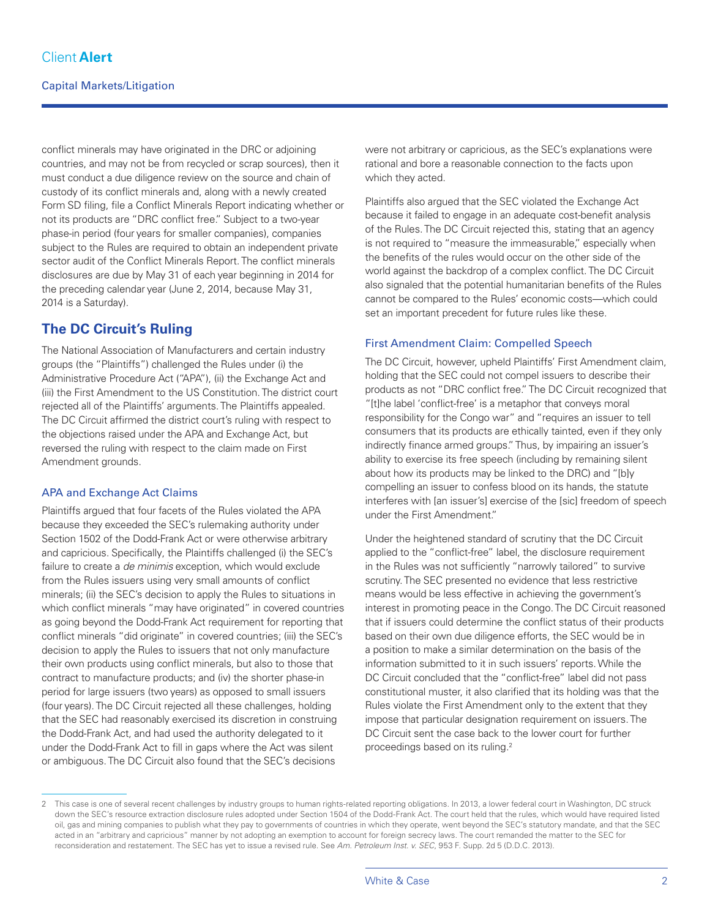conflict minerals may have originated in the DRC or adjoining countries, and may not be from recycled or scrap sources), then it must conduct a due diligence review on the source and chain of custody of its conflict minerals and, along with a newly created Form SD filing, file a Conflict Minerals Report indicating whether or not its products are "DRC conflict free." Subject to a two-year phase-in period (four years for smaller companies), companies subject to the Rules are required to obtain an independent private sector audit of the Conflict Minerals Report. The conflict minerals disclosures are due by May 31 of each year beginning in 2014 for the preceding calendar year (June 2, 2014, because May 31, 2014 is a Saturday).

# **The DC Circuit's Ruling**

The National Association of Manufacturers and certain industry groups (the "Plaintiffs") challenged the Rules under (i) the Administrative Procedure Act ("APA"), (ii) the Exchange Act and (iii) the First Amendment to the US Constitution. The district court rejected all of the Plaintiffs' arguments. The Plaintiffs appealed. The DC Circuit affirmed the district court's ruling with respect to the objections raised under the APA and Exchange Act, but reversed the ruling with respect to the claim made on First Amendment grounds.

#### APA and Exchange Act Claims

Plaintiffs argued that four facets of the Rules violated the APA because they exceeded the SEC's rulemaking authority under Section 1502 of the Dodd-Frank Act or were otherwise arbitrary and capricious. Specifically, the Plaintiffs challenged (i) the SEC's failure to create a *de minimis* exception, which would exclude from the Rules issuers using very small amounts of conflict minerals; (ii) the SEC's decision to apply the Rules to situations in which conflict minerals "may have originated" in covered countries as going beyond the Dodd-Frank Act requirement for reporting that conflict minerals "did originate" in covered countries; (iii) the SEC's decision to apply the Rules to issuers that not only manufacture their own products using conflict minerals, but also to those that contract to manufacture products; and (iv) the shorter phase-in period for large issuers (two years) as opposed to small issuers (four years). The DC Circuit rejected all these challenges, holding that the SEC had reasonably exercised its discretion in construing the Dodd-Frank Act, and had used the authority delegated to it under the Dodd-Frank Act to fill in gaps where the Act was silent or ambiguous. The DC Circuit also found that the SEC's decisions

were not arbitrary or capricious, as the SEC's explanations were rational and bore a reasonable connection to the facts upon which they acted.

Plaintiffs also argued that the SEC violated the Exchange Act because it failed to engage in an adequate cost-benefit analysis of the Rules. The DC Circuit rejected this, stating that an agency is not required to "measure the immeasurable," especially when the benefits of the rules would occur on the other side of the world against the backdrop of a complex conflict. The DC Circuit also signaled that the potential humanitarian benefits of the Rules cannot be compared to the Rules' economic costs—which could set an important precedent for future rules like these.

#### First Amendment Claim: Compelled Speech

The DC Circuit, however, upheld Plaintiffs' First Amendment claim, holding that the SEC could not compel issuers to describe their products as not "DRC conflict free." The DC Circuit recognized that "[t]he label 'conflict-free' is a metaphor that conveys moral responsibility for the Congo war" and "requires an issuer to tell consumers that its products are ethically tainted, even if they only indirectly finance armed groups." Thus, by impairing an issuer's ability to exercise its free speech (including by remaining silent about how its products may be linked to the DRC) and "[b]y compelling an issuer to confess blood on its hands, the statute interferes with [an issuer's] exercise of the [sic] freedom of speech under the First Amendment."

Under the heightened standard of scrutiny that the DC Circuit applied to the "conflict-free" label, the disclosure requirement in the Rules was not sufficiently "narrowly tailored" to survive scrutiny. The SEC presented no evidence that less restrictive means would be less effective in achieving the government's interest in promoting peace in the Congo. The DC Circuit reasoned that if issuers could determine the conflict status of their products based on their own due diligence efforts, the SEC would be in a position to make a similar determination on the basis of the information submitted to it in such issuers' reports. While the DC Circuit concluded that the "conflict-free" label did not pass constitutional muster, it also clarified that its holding was that the Rules violate the First Amendment only to the extent that they impose that particular designation requirement on issuers. The DC Circuit sent the case back to the lower court for further proceedings based on its ruling.2

<sup>2</sup> This case is one of several recent challenges by industry groups to human rights-related reporting obligations. In 2013, a lower federal court in Washington, DC struck down the SEC's resource extraction disclosure rules adopted under Section 1504 of the Dodd-Frank Act. The court held that the rules, which would have required listed oil, gas and mining companies to publish what they pay to governments of countries in which they operate, went beyond the SEC's statutory mandate, and that the SEC acted in an "arbitrary and capricious" manner by not adopting an exemption to account for foreign secrecy laws. The court remanded the matter to the SEC for reconsideration and restatement. The SEC has yet to issue a revised rule. See *Am. Petroleum Inst. v. SEC*, 953 F. Supp. 2d 5 (D.D.C. 2013).